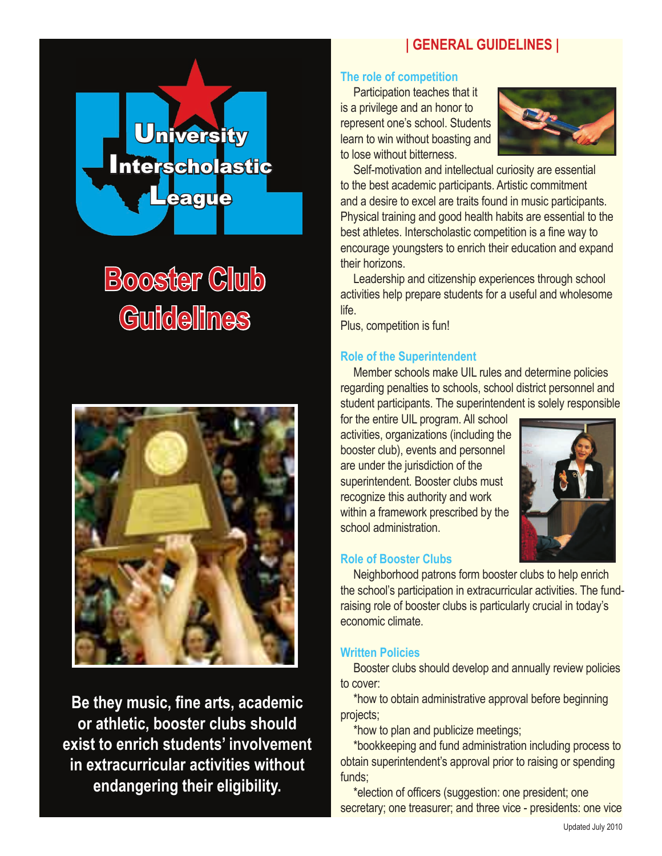# **| GENERAL GUIDELINES |**



# **Booster Club Guidelines**



**Be they music, fine arts, academic or athletic, booster clubs should exist to enrich students' involvement in extracurricular activities without endangering their eligibility.** 

#### **The role of competition**

Participation teaches that it is a privilege and an honor to represent one's school. Students learn to win without boasting and to lose without bitterness.



Self-motivation and intellectual curiosity are essential to the best academic participants. Artistic commitment and a desire to excel are traits found in music participants. Physical training and good health habits are essential to the best athletes. Interscholastic competition is a fine way to encourage youngsters to enrich their education and expand their horizons.

Leadership and citizenship experiences through school activities help prepare students for a useful and wholesome life.

Plus, competition is fun!

# **Role of the Superintendent**

Member schools make UIL rules and determine policies regarding penalties to schools, school district personnel and student participants. The superintendent is solely responsible

for the entire UIL program. All school activities, organizations (including the booster club), events and personnel are under the jurisdiction of the superintendent. Booster clubs must recognize this authority and work within a framework prescribed by the school administration.



# **Role of Booster Clubs**

Neighborhood patrons form booster clubs to help enrich the school's participation in extracurricular activities. The fundraising role of booster clubs is particularly crucial in today's economic climate.

# **Written Policies**

Booster clubs should develop and annually review policies to cover:

\*how to obtain administrative approval before beginning projects;

\*how to plan and publicize meetings;

\*bookkeeping and fund administration including process to obtain superintendent's approval prior to raising or spending funds;

\*election of officers (suggestion: one president; one secretary; one treasurer; and three vice - presidents: one vice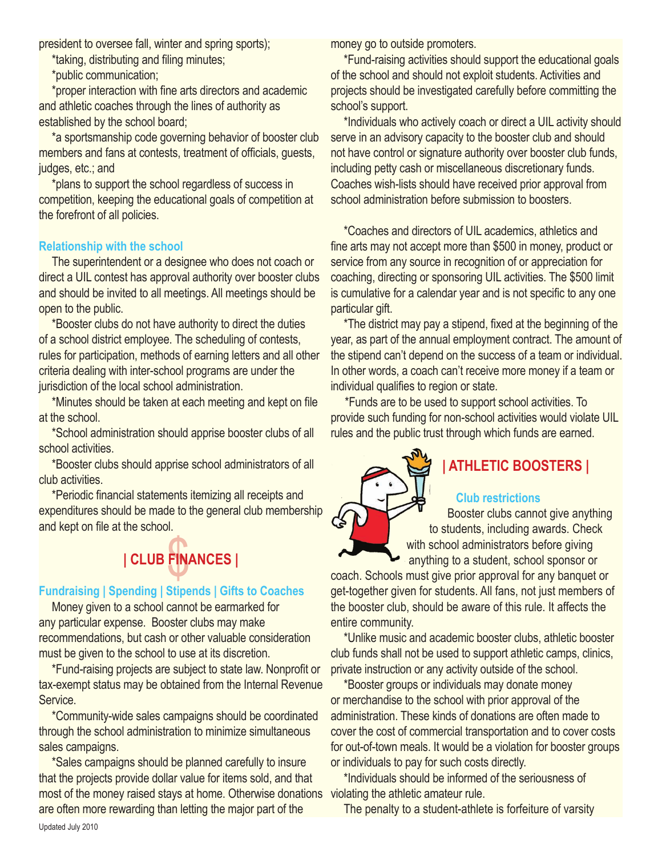president to oversee fall, winter and spring sports);

\*taking, distributing and filing minutes;

\*public communication;

\*proper interaction with fine arts directors and academic and athletic coaches through the lines of authority as established by the school board;

\*a sportsmanship code governing behavior of booster club members and fans at contests, treatment of officials, guests, judges, etc.; and

\*plans to support the school regardless of success in competition, keeping the educational goals of competition at the forefront of all policies.

#### **Relationship with the school**

The superintendent or a designee who does not coach or direct a UIL contest has approval authority over booster clubs and should be invited to all meetings. All meetings should be open to the public.

\*Booster clubs do not have authority to direct the duties of a school district employee. The scheduling of contests, rules for participation, methods of earning letters and all other criteria dealing with inter-school programs are under the jurisdiction of the local school administration.

\*Minutes should be taken at each meeting and kept on file at the school.

\*School administration should apprise booster clubs of all school activities.

\*Booster clubs should apprise school administrators of all club activities.

\*Periodic financial statements itemizing all receipts and expenditures should be made to the general club membership and kept on file at the school.

# **FIN | CLUB FINANCES |**

### **Fundraising | Spending | Stipends | Gifts to Coaches**

Money given to a school cannot be earmarked for any particular expense. Booster clubs may make recommendations, but cash or other valuable consideration must be given to the school to use at its discretion.

\*Fund-raising projects are subject to state law. Nonprofit or tax-exempt status may be obtained from the Internal Revenue Service.

\*Community-wide sales campaigns should be coordinated through the school administration to minimize simultaneous sales campaigns.

\*Sales campaigns should be planned carefully to insure that the projects provide dollar value for items sold, and that most of the money raised stays at home. Otherwise donations violating the athletic amateur rule. are often more rewarding than letting the major part of the

money go to outside promoters.

\*Fund-raising activities should support the educational goals of the school and should not exploit students. Activities and projects should be investigated carefully before committing the school's support.

\*Individuals who actively coach or direct a UIL activity should serve in an advisory capacity to the booster club and should not have control or signature authority over booster club funds, including petty cash or miscellaneous discretionary funds. Coaches wish-lists should have received prior approval from school administration before submission to boosters.

\*Coaches and directors of UIL academics, athletics and fine arts may not accept more than \$500 in money, product or service from any source in recognition of or appreciation for coaching, directing or sponsoring UIL activities. The \$500 limit is cumulative for a calendar year and is not specific to any one particular gift.

\*The district may pay a stipend, fixed at the beginning of the year, as part of the annual employment contract. The amount of the stipend can't depend on the success of a team or individual. In other words, a coach can't receive more money if a team or individual qualifies to region or state.

 \*Funds are to be used to support school activities. To provide such funding for non-school activities would violate UIL rules and the public trust through which funds are earned.

# **| ATHLETIC BOOSTERS |**

#### **Club restrictions**

Booster clubs cannot give anything to students, including awards. Check with school administrators before giving anything to a student, school sponsor or

coach. Schools must give prior approval for any banquet or get-together given for students. All fans, not just members of the booster club, should be aware of this rule. It affects the entire community.

\*Unlike music and academic booster clubs, athletic booster club funds shall not be used to support athletic camps, clinics, private instruction or any activity outside of the school.

\*Booster groups or individuals may donate money or merchandise to the school with prior approval of the administration. These kinds of donations are often made to cover the cost of commercial transportation and to cover costs for out-of-town meals. It would be a violation for booster groups or individuals to pay for such costs directly.

\*Individuals should be informed of the seriousness of

The penalty to a student-athlete is forfeiture of varsity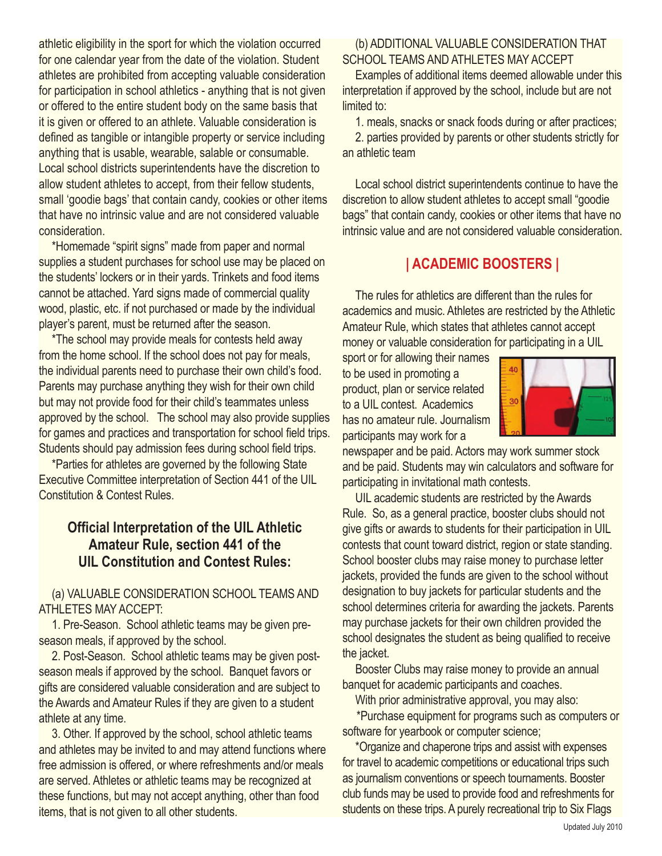athletic eligibility in the sport for which the violation occurred for one calendar year from the date of the violation. Student athletes are prohibited from accepting valuable consideration for participation in school athletics - anything that is not given or offered to the entire student body on the same basis that it is given or offered to an athlete. Valuable consideration is defined as tangible or intangible property or service including anything that is usable, wearable, salable or consumable. Local school districts superintendents have the discretion to allow student athletes to accept, from their fellow students, small 'goodie bags' that contain candy, cookies or other items that have no intrinsic value and are not considered valuable consideration.

\*Homemade "spirit signs" made from paper and normal supplies a student purchases for school use may be placed on the students' lockers or in their yards. Trinkets and food items cannot be attached. Yard signs made of commercial quality wood, plastic, etc. if not purchased or made by the individual player's parent, must be returned after the season.

\*The school may provide meals for contests held away from the home school. If the school does not pay for meals, the individual parents need to purchase their own child's food. Parents may purchase anything they wish for their own child but may not provide food for their child's teammates unless approved by the school. The school may also provide supplies for games and practices and transportation for school field trips. Students should pay admission fees during school field trips.

\*Parties for athletes are governed by the following State Executive Committee interpretation of Section 441 of the UIL Constitution & Contest Rules.

# **Official Interpretation of the UIL Athletic Amateur Rule, section 441 of the UIL Constitution and Contest Rules:**

## (a) VALUABLE CONSIDERATION SCHOOL TEAMS AND ATHLETES MAY ACCEPT:

1. Pre-Season. School athletic teams may be given preseason meals, if approved by the school.

2. Post-Season. School athletic teams may be given postseason meals if approved by the school. Banquet favors or gifts are considered valuable consideration and are subject to the Awards and Amateur Rules if they are given to a student athlete at any time.

3. Other. If approved by the school, school athletic teams and athletes may be invited to and may attend functions where free admission is offered, or where refreshments and/or meals are served. Athletes or athletic teams may be recognized at these functions, but may not accept anything, other than food items, that is not given to all other students.

## (b) ADDITIONAL VALUABLE CONSIDERATION THAT SCHOOL TEAMS AND ATHLETES MAY ACCEPT

Examples of additional items deemed allowable under this interpretation if approved by the school, include but are not limited to:

1. meals, snacks or snack foods during or after practices; 2. parties provided by parents or other students strictly for an athletic team

Local school district superintendents continue to have the discretion to allow student athletes to accept small "goodie bags" that contain candy, cookies or other items that have no intrinsic value and are not considered valuable consideration.

# **| ACADEMIC BOOSTERS |**

The rules for athletics are different than the rules for academics and music. Athletes are restricted by the Athletic Amateur Rule, which states that athletes cannot accept money or valuable consideration for participating in a UIL

sport or for allowing their names to be used in promoting a product, plan or service related to a UIL contest. Academics has no amateur rule. Journalism participants may work for a



newspaper and be paid. Actors may work summer stock and be paid. Students may win calculators and software for participating in invitational math contests.

UIL academic students are restricted by the Awards Rule. So, as a general practice, booster clubs should not give gifts or awards to students for their participation in UIL contests that count toward district, region or state standing. School booster clubs may raise money to purchase letter jackets, provided the funds are given to the school without designation to buy jackets for particular students and the school determines criteria for awarding the jackets. Parents may purchase jackets for their own children provided the school designates the student as being qualified to receive the jacket.

Booster Clubs may raise money to provide an annual banquet for academic participants and coaches.

With prior administrative approval, you may also:

 \*Purchase equipment for programs such as computers or software for yearbook or computer science;

\*Organize and chaperone trips and assist with expenses for travel to academic competitions or educational trips such as journalism conventions or speech tournaments. Booster club funds may be used to provide food and refreshments for students on these trips. A purely recreational trip to Six Flags